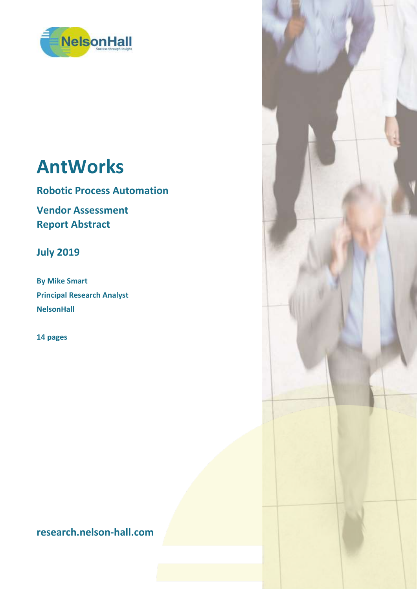

# **AntWorks**

**Robotic Process Automation**

**Vendor Assessment Report Abstract**

**July 2019**

**By Mike Smart Principal Research Analyst NelsonHall**

**14 pages**

**research.nelson-hall.com**

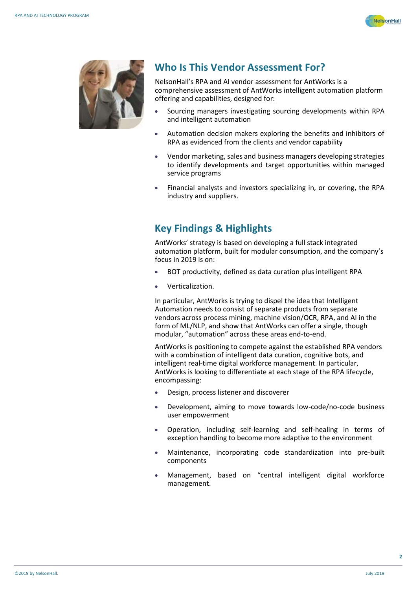



### **Who Is This Vendor Assessment For?**

NelsonHall's RPA and AI vendor assessment for AntWorks is a comprehensive assessment of AntWorks intelligent automation platform offering and capabilities, designed for:

- Sourcing managers investigating sourcing developments within RPA and intelligent automation
- Automation decision makers exploring the benefits and inhibitors of RPA as evidenced from the clients and vendor capability
- Vendor marketing, sales and business managers developing strategies to identify developments and target opportunities within managed service programs
- Financial analysts and investors specializing in, or covering, the RPA industry and suppliers.

## **Key Findings & Highlights**

AntWorks' strategy is based on developing a full stack integrated automation platform, built for modular consumption, and the company's focus in 2019 is on:

- BOT productivity, defined as data curation plus intelligent RPA
- Verticalization.

In particular, AntWorks is trying to dispel the idea that Intelligent Automation needs to consist of separate products from separate vendors across process mining, machine vision/OCR, RPA, and AI in the form of ML/NLP, and show that AntWorks can offer a single, though modular, "automation" across these areas end-to-end.

AntWorks is positioning to compete against the established RPA vendors with a combination of intelligent data curation, cognitive bots, and intelligent real-time digital workforce management. In particular, AntWorks is looking to differentiate at each stage of the RPA lifecycle, encompassing:

- Design, process listener and discoverer
- Development, aiming to move towards low-code/no-code business user empowerment
- Operation, including self-learning and self-healing in terms of exception handling to become more adaptive to the environment
- Maintenance, incorporating code standardization into pre-built components
- Management, based on "central intelligent digital workforce management.